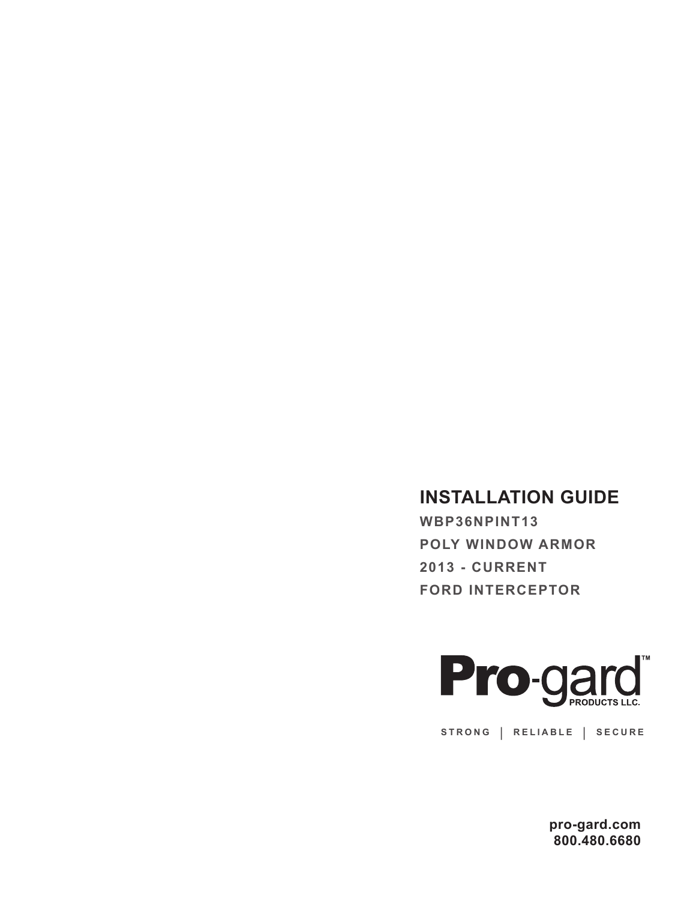## **INSTALLATION GUIDE**

**WBP36NPINT13 POLY WINDOW ARMOR 2013 - CURRENT FORD INTERCEPTOR** 



**STRONG | RELIABLE | SECURE**

**pro-gard.com 800.480.6680**